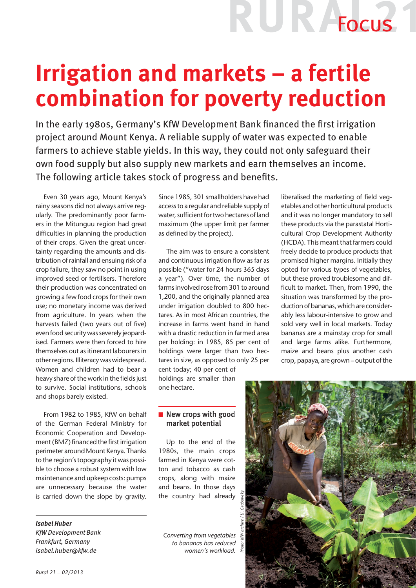# RUR Focus

# **Irrigation and markets – a fertile combination for poverty reduction**

In the early 1980s, Germany's KfW Development Bank financed the first irrigation project around Mount Kenya. A reliable supply of water was expected to enable farmers to achieve stable yields. In this way, they could not only safeguard their own food supply but also supply new markets and earn themselves an income. The following article takes stock of progress and benefits.

Even 30 years ago, Mount Kenya's rainy seasons did not always arrive regularly. The predominantly poor farmers in the Mitunguu region had great difficulties in planning the production of their crops. Given the great uncertainty regarding the amounts and distribution of rainfall and ensuing risk of a crop failure, they saw no point in using improved seed or fertilisers. Therefore their production was concentrated on growing a few food crops for their own use; no monetary income was derived from agriculture. In years when the harvests failed (two years out of five) even food security was severely jeopardised. Farmers were then forced to hire themselves out as itinerant labourers in other regions. Illiteracy was widespread. Women and children had to bear a heavy share of the work in the fields just to survive. Social institutions, schools and shops barely existed.

From 1982 to 1985, KfW on behalf of the German Federal Ministry for Economic Cooperation and Development (BMZ) financed the first irrigation perimeter around Mount Kenya. Thanks to the region's topography it was possible to choose a robust system with low maintenance and upkeep costs: pumps are unnecessary because the water is carried down the slope by gravity.

*Isabel Huber KfW Development Bank Frankfurt, Germany isabel.huber@kfw.de*

Since 1985, 301 smallholders have had access to a regular and reliable supply of water, sufficient for two hectares of land maximum (the upper limit per farmer as defined by the project).

The aim was to ensure a consistent and continuous irrigation flow as far as possible ("water for 24 hours 365 days a year"). Over time, the number of farms involved rose from 301 to around 1,200, and the originally planned area under irrigation doubled to 800 hectares. As in most African countries, the increase in farms went hand in hand with a drastic reduction in farmed area per holding: in 1985, 85 per cent of holdings were larger than two hectares in size, as opposed to only 25 per

cent today; 40 per cent of holdings are smaller than one hectare.

### these products via the parastatal Horticultural Crop Development Authority (HCDA). This meant that farmers could freely decide to produce products that promised higher margins. Initially they opted for various types of vegetables, but these proved troublesome and difficult to market. Then, from 1990, the situation was transformed by the production of bananas, which are considerably less labour-intensive to grow and sold very well in local markets. Today bananas are a mainstay crop for small and large farms alike. Furthermore, maize and beans plus another cash crop, papaya, are grown – output of the

liberalised the marketing of field vegetables and other horticultural products and it was no longer mandatory to sell

#### $\blacksquare$  New crops with good market potential

Up to the end of the 1980s, the main crops farmed in Kenya were cotton and tobacco as cash crops, along with maize and beans. In those days the country had already

*Converting from vegetables to bananas has reduced women's workload.*

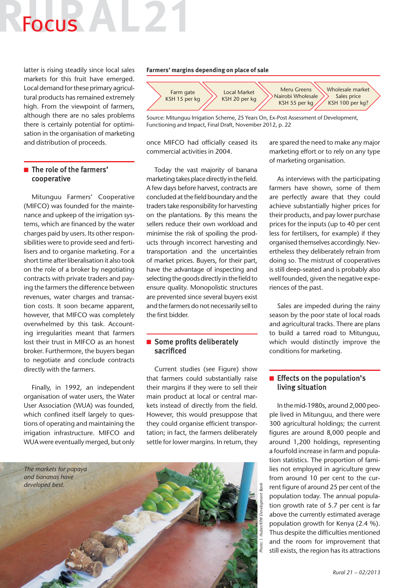# Focus<sup>1</sup>

latter is rising steadily since local sales markets for this fruit have emerged. Local demand for these primary agricultural products has remained extremely high. From the viewpoint of farmers, although there are no sales problems there is certainly potential for optimisation in the organisation of marketing and distribution of proceeds.

### ■ The role of the farmers' cooperative

Mitunguu Farmers' Cooperative (MIFCO) was founded for the maintenance and upkeep of the irrigation systems, which are financed by the water charges paid by users. Its other responsibilities were to provide seed and fertilisers and to organise marketing. For a short time after liberalisation it also took on the role of a broker by negotiating contracts with private traders and paying the farmers the difference between revenues, water charges and transaction costs. It soon became apparent, however, that MIFCO was completely overwhelmed by this task. Accounting irregularities meant that farmers lost their trust in MIFCO as an honest broker. Furthermore, the buyers began to negotiate and conclude contracts directly with the farmers.

Finally, in 1992, an independent organisation of water users, the Water User Association (WUA) was founded, which confined itself largely to questions of operating and maintaining the irrigation infrastructure. MIFCO and WUA were eventually merged, but only

#### **Farmers' margins depending on place of sale**



Source: Mitunguu Irrigation Scheme, 25 Years On, Ex-Post Assessment of Development, Functioning and Impact, Final Draft, November 2012, p. 22

once MIFCO had officially ceased its commercial activities in 2004.

Today the vast majority of banana marketing takes place directly in the field. A few days before harvest, contracts are concluded at the field boundary and the traders take responsibility for harvesting on the plantations. By this means the sellers reduce their own workload and minimise the risk of spoiling the products through incorrect harvesting and transportation and the uncertainties of market prices. Buyers, for their part, have the advantage of inspecting and selecting the goods directly in the field to ensure quality. Monopolistic structures are prevented since several buyers exist and the farmers do not necessarily sell to the first bidder.

## $\blacksquare$  Some profits deliberately sacrificed

Current studies (see Figure) show that farmers could substantially raise their margins if they were to sell their main product at local or central markets instead of directly from the field. However, this would presuppose that they could organise efficient transportation; in fact, the farmers deliberately settle for lower margins. In return, they

are spared the need to make any major marketing effort or to rely on any type of marketing organisation.

As interviews with the participating farmers have shown, some of them are perfectly aware that they could achieve substantially higher prices for their products, and pay lower purchase prices for the inputs (up to 40 per cent less for fertilisers, for example) if they organised themselves accordingly. Nevertheless they deliberately refrain from doing so. The mistrust of cooperatives is still deep-seated and is probably also well founded, given the negative experiences of the past.

Sales are impeded during the rainy season by the poor state of local roads and agricultural tracks. There are plans to build a tarred road to Mitunguu, which would distinctly improve the conditions for marketing.

#### $\blacksquare$  Effects on the population's living situation

In the mid-1980s, around 2,000 people lived in Mitunguu, and there were 300 agricultural holdings; the current figures are around 8,000 people and around 1,200 holdings, representing a fourfold increase in farm and population statistics. The proportion of families not employed in agriculture grew from around 10 per cent to the current figure of around 25 per cent of the population today. The annual population growth rate of 5.7 per cent is far above the currently estimated average population growth for Kenya (2.4 %). Thus despite the difficulties mentioned and the room for improvement that still exists, the region has its attractions